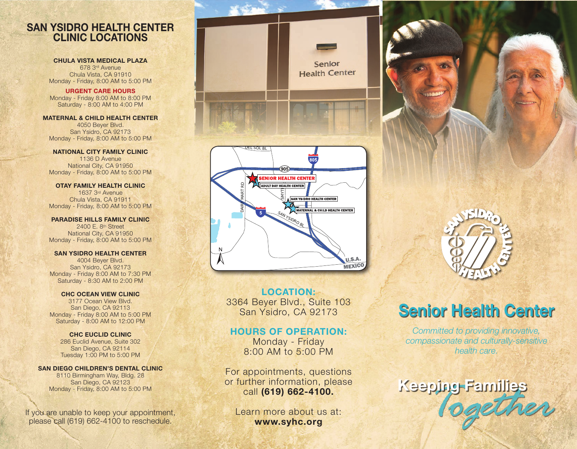### SAN YSIDRO HEALTH CENTER CLINIC LOCATIONS

#### CHULA VISTA MEDICAL PLAZA

678 3rd Avenue Chula Vista, CA 91910 Monday - Friday, 8:00 AM to 5:00 PM

URGENT CARE HOURS Monday - Friday 8:00 AM to 8:00 PM Saturday - 8:00 AM to 4:00 PM

MATERNAL & CHILD HEALTH CENTER 4050 Beyer Blvd. San Ysidro, CA 92173 Monday - Friday, 8:00 AM to 5:00 PM

NATIONAL CITY FAMILY CLINIC 1136 D Avenue National City, CA 91950 Monday - Friday, 8:00 AM to 5:00 PM

OTAY FAMILY HEALTH CLINIC 1637 3rd Avenue Chula Vista, CA 91911 Monday - Friday, 8:00 AM to 5:00 PM

PARADISE HILLS FAMILY CLINIC 2400 E. 8th Street National City, CA 91950 Monday - Friday, 8:00 AM to 5:00 PM

SAN YSIDRO HEALTH CENTER 4004 Beyer Blvd. San Ysidro, CA 92173 Monday - Friday 8:00 AM to 7:30 PM Saturday - 8:30 AM to 2:00 PM

CHC OCEAN VIEW CLINIC 3177 Ocean View Blvd. San Diego, CA 92113 Monday - Friday 8:00 AM to 5:00 PM Saturday - 8:00 AM to 12:00 PM

CHC EUCLID CLINIC 286 Euclid Avenue, Suite 302 San Diego, CA 92114 Tuesday 1:00 PM to 5:00 PM

#### SAN DIEGO CHILDREN'S DENTAL CLINIC

8110 Birmingham Way, Bldg. 28 San Diego, CA 92123 Monday - Friday, 8:00 AM to 5:00 PM

If you are unable to keep your appointment, please call (619) 662-4100 to reschedule.



LOCATION: 3364 Beyer Blvd., Suite 103 San Ysidro, CA 92173

SAN YSIDRO BL

U.S.A. **MEXICO** 

#### HOURS OF OPERATION:

Monday - Friday 8:00 AM to 5:00 PM

For appointments, questions or further information, please call (619) 662-4100.

Learn more about us at: www.syhc.org

# Senior Health Center

*Committed to providing innovative, compassionate and culturally-sensitive health care.*